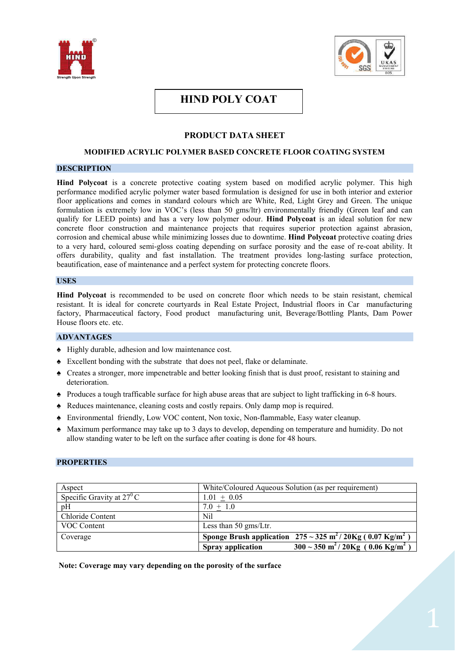



# **HIND POLY COAT**

# **PRODUCT DATA SHEET**

# **MODIFIED ACRYLIC POLYMER BASED CONCRETE FLOOR COATING SYSTEM**

# **DESCRIPTION**

**Hind Polycoat** is a concrete protective coating system based on modified acrylic polymer. This high performance modified acrylic polymer water based formulation is designed for use in both interior and exterior floor applications and comes in standard colours which are White, Red, Light Grey and Green. The unique formulation is extremely low in VOC's (less than 50 gms/ltr) environmentally friendly (Green leaf and can qualify for LEED points) and has a very low polymer odour. **Hind Polycoat** is an ideal solution for new concrete floor construction and maintenance projects that requires superior protection against abrasion, corrosion and chemical abuse while minimizing losses due to downtime. **Hind Polycoat** protective coating dries to a very hard, coloured semi-gloss coating depending on surface porosity and the ease of re-coat ability. It offers durability, quality and fast installation. The treatment provides long-lasting surface protection, beautification, ease of maintenance and a perfect system for protecting concrete floors.

## **USES**

**Hind Polycoat** is recommended to be used on concrete floor which needs to be stain resistant, chemical resistant. It is ideal for concrete courtyards in Real Estate Project, Industrial floors in Car manufacturing factory, Pharmaceutical factory, Food product manufacturing unit, Beverage/Bottling Plants, Dam Power House floors etc. etc.

# **ADVANTAGES**

- ♠ Highly durable, adhesion and low maintenance cost.
- ♠ Excellent bonding with the substrate that does not peel, flake or delaminate.
- ♠ Creates a stronger, more impenetrable and better looking finish that is dust proof, resistant to staining and deterioration.
- ♠ Produces a tough trafficable surface for high abuse areas that are subject to light trafficking in 6-8 hours.
- ♠ Reduces maintenance, cleaning costs and costly repairs. Only damp mop is required.
- ♠ Environmental friendly, Low VOC content, Non toxic, Non-flammable, Easy water cleanup.
- ♠ Maximum performance may take up to 3 days to develop, depending on temperature and humidity. Do not allow standing water to be left on the surface after coating is done for 48 hours.

# **PROPERTIES**

| Aspect                             | White/Coloured Aqueous Solution (as per requirement)                                         |
|------------------------------------|----------------------------------------------------------------------------------------------|
| Specific Gravity at $27^{\circ}$ C | $1.01 + 0.05$                                                                                |
| pH                                 | $7.0 + 1.0$                                                                                  |
| Chloride Content                   | Nil                                                                                          |
| VOC Content                        | Less than 50 gms/Ltr.                                                                        |
| Coverage                           | Sponge Brush application $275 \sim 325 \text{ m}^2 / 20 \text{Kg}$ (0.07 Kg/m <sup>2</sup> ) |
|                                    | $\frac{300}{250}$ ~ 350 m <sup>2</sup> /20Kg (0.06 Kg/m <sup>2</sup> )<br>Spray application  |

**Note: Coverage may vary depending on the porosity of the surface**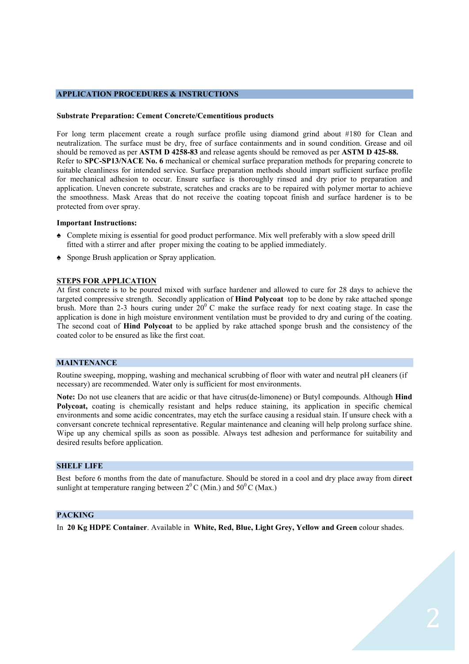# **APPLICATION PROCEDURES & INSTRUCTIONS**

#### **Substrate Preparation: Cement Concrete/Cementitious products**

For long term placement create a rough surface profile using diamond grind about #180 for Clean and neutralization. The surface must be dry, free of surface containments and in sound condition. Grease and oil should be removed as per **ASTM D 4258-83** and release agents should be removed as per **ASTM D 425-88.** Refer to **SPC-SP13/NACE No. 6** mechanical or chemical surface preparation methods for preparing concrete to suitable cleanliness for intended service. Surface preparation methods should impart sufficient surface profile for mechanical adhesion to occur. Ensure surface is thoroughly rinsed and dry prior to preparation and application. Uneven concrete substrate, scratches and cracks are to be repaired with polymer mortar to achieve the smoothness. Mask Areas that do not receive the coating topcoat finish and surface hardener is to be protected from over spray.

#### **Important Instructions:**

- ♠ Complete mixing is essential for good product performance. Mix well preferably with a slow speed drill fitted with a stirrer and after proper mixing the coating to be applied immediately.
- ♠ Sponge Brush application or Spray application.

### **STEPS FOR APPLICATION**

At first concrete is to be poured mixed with surface hardener and allowed to cure for 28 days to achieve the targeted compressive strength. Secondly application of **Hind Polycoat** top to be done by rake attached sponge brush. More than 2-3 hours curing under  $20^{\circ}$  C make the surface ready for next coating stage. In case the application is done in high moisture environment ventilation must be provided to dry and curing of the coating. The second coat of **Hind Polycoat** to be applied by rake attached sponge brush and the consistency of the coated color to be ensured as like the first coat.

#### **MAINTENANCE**

Routine sweeping, mopping, washing and mechanical scrubbing of floor with water and neutral pH cleaners (if necessary) are recommended. Water only is sufficient for most environments.

**Note:** Do not use cleaners that are acidic or that have citrus(de-limonene) or Butyl compounds. Although **Hind Polycoat,** coating is chemically resistant and helps reduce staining, its application in specific chemical environments and some acidic concentrates, may etch the surface causing a residual stain. If unsure check with a conversant concrete technical representative. Regular maintenance and cleaning will help prolong surface shine. Wipe up any chemical spills as soon as possible. Always test adhesion and performance for suitability and desired results before application.

#### **SHELF LIFE**

Best before 6 months from the date of manufacture. Should be stored in a cool and dry place away from di**rect**  sunlight at temperature ranging between  $2^{0}$  C (Min.) and  $50^{0}$  C (Max.)

# **PACKING**

In **20 Kg HDPE Container**. Available in **White, Red, Blue, Light Grey, Yellow and Green** colour shades.